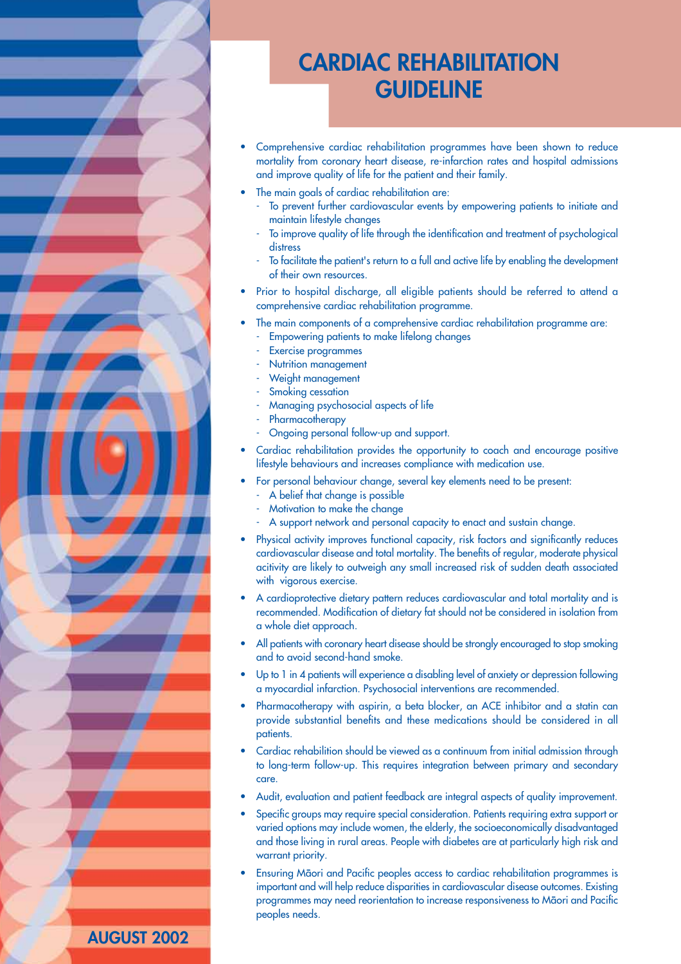

## **CARDIAC REHABILITATION GUIDELINE**

- Comprehensive cardiac rehabilitation programmes have been shown to reduce mortality from coronary heart disease, re-infarction rates and hospital admissions and improve quality of life for the patient and their family.
- The main goals of cardiac rehabilitation are:
	- To prevent further cardiovascular events by empowering patients to initiate and maintain lifestyle changes
	- To improve quality of life through the identification and treatment of psychological distress
	- To facilitate the patient's return to a full and active life by enabling the development of their own resources.
- Prior to hospital discharge, all eligible patients should be referred to attend a comprehensive cardiac rehabilitation programme.
- The main components of a comprehensive cardiac rehabilitation programme are:
	- Empowering patients to make lifelong changes
		- Exercise programmes
		- Nutrition management
		- Weight management
		- Smoking cessation
	- Managing psychosocial aspects of life
	- Pharmacotherapy
	- Ongoing personal follow-up and support.
- Cardiac rehabilitation provides the opportunity to coach and encourage positive lifestyle behaviours and increases compliance with medication use.
- For personal behaviour change, several key elements need to be present:
	- A belief that change is possible
	- Motivation to make the change
	- A support network and personal capacity to enact and sustain change.
- Physical activity improves functional capacity, risk factors and significantly reduces cardiovascular disease and total mortality. The benefits of regular, moderate physical acitivity are likely to outweigh any small increased risk of sudden death associated with vigorous exercise.
- A cardioprotective dietary pattern reduces cardiovascular and total mortality and is recommended. Modification of dietary fat should not be considered in isolation from a whole diet approach.
- All patients with coronary heart disease should be strongly encouraged to stop smoking and to avoid second-hand smoke.
- Up to 1 in 4 patients will experience a disabling level of anxiety or depression following a myocardial infarction. Psychosocial interventions are recommended.
- Pharmacotherapy with aspirin, a beta blocker, an ACE inhibitor and a statin can provide substantial benefits and these medications should be considered in all patients.
- Cardiac rehabilition should be viewed as a continuum from initial admission through to long-term follow-up. This requires integration between primary and secondary care.
- Audit, evaluation and patient feedback are integral aspects of quality improvement.
- Specific groups may require special consideration. Patients requiring extra support or varied options may include women, the elderly, the socioeconomically disadvantaged and those living in rural areas. People with diabetes are at particularly high risk and warrant priority.
- Ensuring Mäori and Pacific peoples access to cardiac rehabilitation programmes is important and will help reduce disparities in cardiovascular disease outcomes. Existing programmes may need reorientation to increase responsiveness to Mäori and Pacific peoples needs.